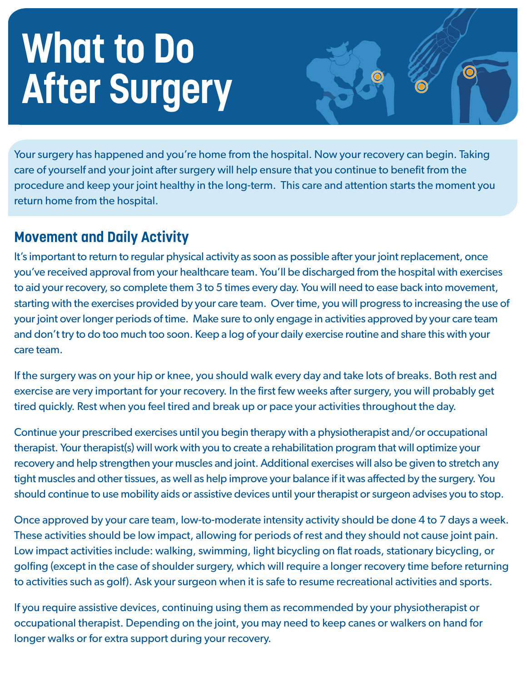# **What to Do After Surgery**

Your surgery has happened and you're home from the hospital. Now your recovery can begin. Taking care of yourself and your joint after surgery will help ensure that you continue to benefit from the procedure and keep your joint healthy in the long-term. This care and attention starts the moment you return home from the hospital.

## **Movement and Daily Activity**

It's important to return to regular physical activity as soon as possible after your joint replacement, once you've received approval from your healthcare team. You'll be discharged from the hospital with exercises to aid your recovery, so complete them 3 to 5 times every day. You will need to ease back into movement, starting with the exercises provided by your care team. Over time, you will progress to increasing the use of your joint over longer periods of time. Make sure to only engage in activities approved by your care team and don't try to do too much too soon. Keep a log of your daily exercise routine and share this with your care team.

If the surgery was on your hip or knee, you should walk every day and take lots of breaks. Both rest and exercise are very important for your recovery. In the first few weeks after surgery, you will probably get tired quickly. Rest when you feel tired and break up or pace your activities throughout the day.

Continue your prescribed exercises until you begin therapy with a physiotherapist and/or occupational therapist. Your therapist(s) will work with you to create a rehabilitation program that will optimize your recovery and help strengthen your muscles and joint. Additional exercises will also be given to stretch any tight muscles and other tissues, as well as help improve your balance if it was affected by the surgery. You should continue to use mobility aids or assistive devices until your therapist or surgeon advises you to stop.

Once approved by your care team, low-to-moderate intensity activity should be done 4 to 7 days a week. These activities should be low impact, allowing for periods of rest and they should not cause joint pain. Low impact activities include: walking, swimming, light bicycling on flat roads, stationary bicycling, or golfing (except in the case of shoulder surgery, which will require a longer recovery time before returning to activities such as golf). Ask your surgeon when it is safe to resume recreational activities and sports.

If you require assistive devices, continuing using them as recommended by your physiotherapist or occupational therapist. Depending on the joint, you may need to keep canes or walkers on hand for longer walks or for extra support during your recovery.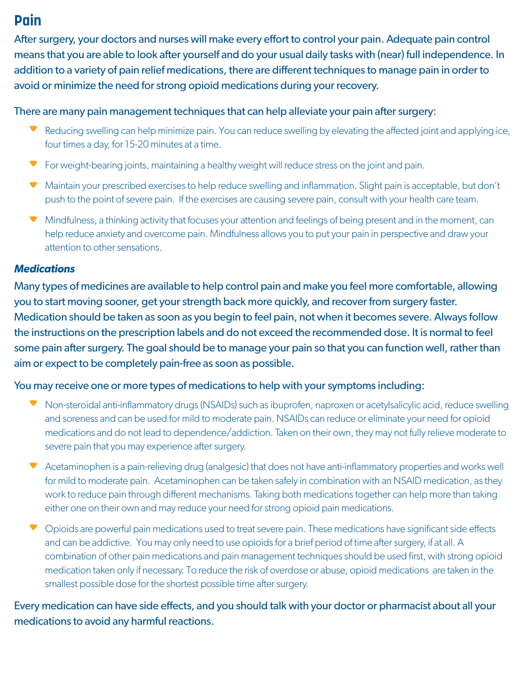## **Pain Pain**

After surgery, your doctors and nurses will make every effort to control your pain. Adequate pain control means that you are able to look after yourself and do your usual daily tasks with (near) full independence. In addition to a variety of pain relief medications, there are different techniques to manage pain in order to addition to a variety of pain relief medications, there are different techniques to manage pain in order to avoid or minimize the need for strong opioid medications during your recovery. avoid or minimize the need for strong opioid medications during your recovery.

#### There are many pain management techniques that can help alleviate your pain after surgery:

- ▼ Reducing swelling can help minimize pain. You can reduce swelling by elevating the affected joint and applying ice, four times a day, for 15-20 minutes at a time. four times a day, for 15-20 minutes at a time.
- **The For weight-bearing joints, maintaining a healthy weight will reduce stress on the joint and pain.**
- Maintain your prescribed exercises to help reduce swelling and inflammation. Slight pain is acceptable, but don't ▼ Maintain your prescribed exercises to help reduce swelling and inflammation. Slight pain is acceptable, but don't<br>push to the point of severe pain. If the exercises are causing severe pain, consult with your health care
- Mindfulness, a thinking activity that focuses your attention and feelings of being present and in the moment, can help reduce anxiety and overcome pain. Mindfulness allows you to put your pain in perspective and draw your help reduce anxiety and overcome pain. Mindfulness allows you to put your pain in perspective and draw your attention to other sensations. attention to other sensations.

#### **Medications**  *Medications*

Many types of medicines are available to help control pain and make you feel more comfortable, allowing Many types of medicines are available to help control pain and make you feel more comfortable, allowing you to start moving sooner, get your strength back more quickly, and recover from surgery faster. you to start moving sooner, get your strength back more quickly, and recover from surgery faster. Medication should be taken as soon as you begin to feel pain, not when it becomes severe. Always follow Medication should be taken as soon as you begin to feel pain, not when it becomes severe. Always follow the instructions on the prescription labels and do not exceed the recommended dose. It is normal to feel the instructions on the prescription labels and do not exceed the recommended dose. It is normal to feel some pain after surgery. The goal should be to manage your pain so that you can function well, rather than aim or expect to be completely pain-free as soon as possible. aim or expect to be completely pain-free as soon as possible.

#### You may receive one or more types of medications to help with your symptoms including: You may receive one or more types of medications to help with your symptoms including:

- ▼ Non-steroidal anti-inflammatory drugs (NSAIDs) such as ibuprofen, naproxen or acetylsalicylic acid, reduce swelling and soreness and can be used for mild to moderate pain. NSAIDs can reduce or eliminate your need for opioid and soreness and can be used for mild to moderate pain. NSAIDs can reduce or eliminate your need for opioid medications and do not lead to dependence/addiction. Taken on their own, they may not fully relieve moderate to<br>severe pain that you may experience after surgery.<br>Acetaminophen is a pain-relieving drug (analgesic) that doe severe pain that you may experience after surgery.
- Acetaminophen is a pain-relieving drug (analgesic) that does not have anti-inflammatory properties and works well for mild to moderate pain. Acetaminophen can be taken safely in combination with an NSAID medication, as they for mild to moderate pain. Acetaminophen can be taken safely in combination with an NSAID medication, as they work to reduce pain through different mechanisms. Taking both medications together can help more than taking work to reduce pain through different mechanisms. Taking both medications together can help more than taking either one on their own and may reduce your need for strong opioid pain medications. either one on their own and may reduce your need for strong opioid pain medications.
- ▼ Opioids are powerful pain medications used to treat severe pain. These medications have significant side effects and can be addictive. You may only need to use opioids for a brief period of time after surgery, if at all. A combination of other pain medications and pain management techniques should be used first, with strong opioid combination of other pain medications and pain management techniques should be used first, with strong opioid medication taken only if necessary. To reduce the risk of overdose or abuse, opioid medications are taken in the smallest possible dose for the shortest possible time after surgery.

Every medication can have side effects, and you should talk with your doctor or pharmacist about all your Every medication can have side effects, and you should talk with your doctor or pharmacist about all your medications to avoid any harmful reactions. medications to avoid any harmful reactions.